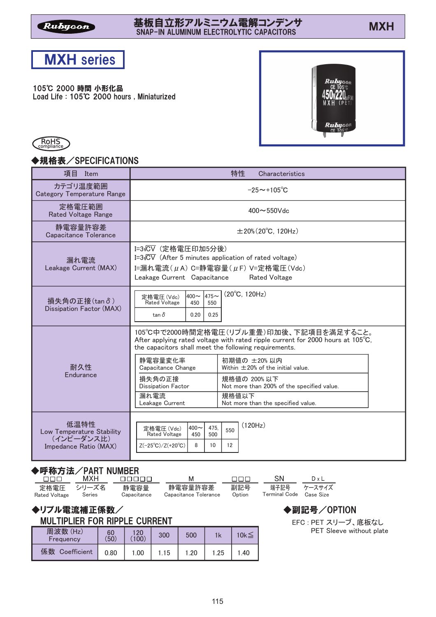### 基板自立形アルミニウム電解コンデンサ<br>- 8008 MAL MANUM ELECTROLYTIC CARACTORS 基板目立形アルミニワム電解コンデンサ<br>SNAP-IN ALUMINUM ELECTROLYTIC CAPACITORS



105℃ 2000 時間 小形化品 Load Life : 105℃ 2000 hours, Miniaturized





## ◆規格表/SPECIFICATIONS

| 項目<br>Item                                                               | 特性<br>Characteristics                                                                                                                                                                           |  |  |  |  |  |  |  |  |
|--------------------------------------------------------------------------|-------------------------------------------------------------------------------------------------------------------------------------------------------------------------------------------------|--|--|--|--|--|--|--|--|
| カテゴリ温度範囲<br><b>Category Temperature Range</b>                            | $-25 \sim +105^{\circ}C$                                                                                                                                                                        |  |  |  |  |  |  |  |  |
| 定格電圧範囲<br><b>Rated Voltage Range</b>                                     | $400 - 550$ Vdc                                                                                                                                                                                 |  |  |  |  |  |  |  |  |
| 静電容量許容差<br>Capacitance Tolerance                                         | $\pm 20\%$ (20 $^{\circ}$ C, 120Hz)                                                                                                                                                             |  |  |  |  |  |  |  |  |
| 漏れ電流<br>Leakage Current (MAX)                                            | I=3√CV (定格電圧印加5分後)<br>I= $3\sqrt{CV}$ (After 5 minutes application of rated voltage)<br>I=漏れ電流 $(\mu A)$ C=静電容量 $(\mu F)$ V=定格電圧 $(Vdc)$<br>Leakage Current Capacitance<br><b>Rated Voltage</b> |  |  |  |  |  |  |  |  |
| 損失角の正接(tan o)<br>Dissipation Factor (MAX)                                | $(20^{\circ}C, 120Hz)$<br>$400 - 475 -$<br>定格電圧 (Vdc)<br><b>Rated Voltage</b><br>450<br>550<br>$\tan \delta$<br>0.25<br>0.20                                                                    |  |  |  |  |  |  |  |  |
|                                                                          | 105℃中で2000時間定格電圧(リプル重畳)印加後、下記項目を満足すること。<br>After applying rated voltage with rated ripple current for 2000 hours at 105°C,<br>the capacitors shall meet the following requirements.             |  |  |  |  |  |  |  |  |
| 耐久性<br>Endurance                                                         | 静電容量変化率<br>初期値の ±20%以内<br>Within $\pm 20\%$ of the initial value.<br>Capacitance Change                                                                                                         |  |  |  |  |  |  |  |  |
|                                                                          | 損失角の正接<br>規格値の 200%以下<br>Dissipation Factor<br>Not more than 200% of the specified value.                                                                                                       |  |  |  |  |  |  |  |  |
|                                                                          | 漏れ電流<br>規格値以下<br>Not more than the specified value.<br>Leakage Current                                                                                                                          |  |  |  |  |  |  |  |  |
| 低温特性<br>Low Temperature Stability<br>(インピーダンス比)<br>Impedance Ratio (MAX) | (120Hz)<br>$400 \sim$<br>475.<br>定格電圧(Vdc)<br>550<br><b>Rated Voltage</b><br>450<br>500<br>8<br>$Z(-25^{\circ}C)/Z(+20^{\circ}C)$<br>10<br>12                                                   |  |  |  |  |  |  |  |  |
|                                                                          |                                                                                                                                                                                                 |  |  |  |  |  |  |  |  |

# ◆呼称方法/PART NUMBER

| nnn -         | MXH                  | nnnnn               | M                                | nnn.          | .SN                     | DxL         |
|---------------|----------------------|---------------------|----------------------------------|---------------|-------------------------|-------------|
| Rated Voltage | 定格雷圧 シリーズ名<br>Series | 静雷容量<br>Capacitance | 静電容量許容差<br>Capacitance Tolerance | 副記号<br>Option | Terminal Code Case Size | 端子記号 ケースサイズ |

◆リプル電流補正係数/

| <b>MULTIPLIER FOR RIPPLE CURRENT</b> |  |  |
|--------------------------------------|--|--|
|                                      |  |  |

| 周波数(Hz)<br>Frequency | 60<br>(50) | 120<br>(100) | 300 | 500  |      | $10k \leq$ |  |
|----------------------|------------|--------------|-----|------|------|------------|--|
| 係数<br>Coefficient    | 0.80       | 1.00         | .15 | 1.20 | 1.25 | .40        |  |

◆副記号/OPTION

EFC : PET スリーブ、底板なし PET Sleeve without plate